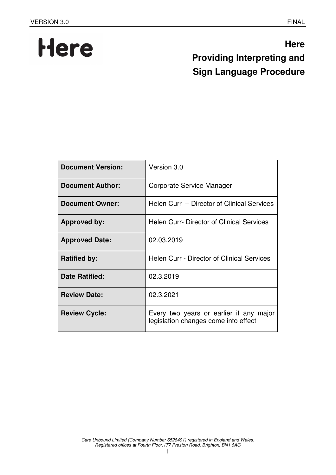# Here

## **Here Providing Interpreting and Sign Language Procedure**

| <b>Document Version:</b> | Version 3.0                                                                     |
|--------------------------|---------------------------------------------------------------------------------|
| <b>Document Author:</b>  | Corporate Service Manager                                                       |
| <b>Document Owner:</b>   | Helen Curr – Director of Clinical Services                                      |
| <b>Approved by:</b>      | <b>Helen Curr- Director of Clinical Services</b>                                |
| <b>Approved Date:</b>    | 02.03.2019                                                                      |
| <b>Ratified by:</b>      | <b>Helen Curr - Director of Clinical Services</b>                               |
| <b>Date Ratified:</b>    | 02.3.2019                                                                       |
| <b>Review Date:</b>      | 02.3.2021                                                                       |
| <b>Review Cycle:</b>     | Every two years or earlier if any major<br>legislation changes come into effect |

1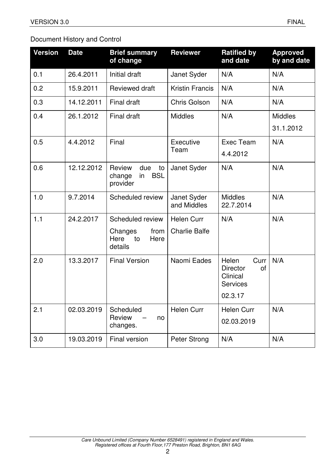## Document History and Control

| <b>Version</b> | <b>Date</b> | <b>Brief summary</b><br>of change                             | <b>Reviewer</b>            | <b>Ratified by</b><br>and date                                        | <b>Approved</b><br>by and date |
|----------------|-------------|---------------------------------------------------------------|----------------------------|-----------------------------------------------------------------------|--------------------------------|
| 0.1            | 26.4.2011   | Initial draft                                                 | Janet Syder                | N/A                                                                   | N/A                            |
| 0.2            | 15.9.2011   | <b>Reviewed draft</b>                                         | <b>Kristin Francis</b>     | N/A                                                                   | N/A                            |
| 0.3            | 14.12.2011  | <b>Final draft</b>                                            | <b>Chris Golson</b>        | N/A                                                                   | N/A                            |
| 0.4            | 26.1.2012   | <b>Final draft</b>                                            | <b>Middles</b>             | N/A                                                                   | <b>Middles</b>                 |
|                |             |                                                               |                            |                                                                       | 31.1.2012                      |
| 0.5            | 4.4.2012    | Final                                                         | Executive                  | Exec Team                                                             | N/A                            |
|                |             |                                                               | Team                       | 4.4.2012                                                              |                                |
| 0.6            | 12.12.2012  | Review<br>due<br>to<br><b>BSL</b><br>change<br>in<br>provider | Janet Syder                | N/A                                                                   | N/A                            |
| 1.0            | 9.7.2014    | Scheduled review                                              | Janet Syder<br>and Middles | <b>Middles</b><br>22.7.2014                                           | N/A                            |
| 1.1            | 24.2.2017   | Scheduled review                                              | <b>Helen Curr</b>          | N/A                                                                   | N/A                            |
|                |             | Changes<br>from<br>Here<br>Here<br>to<br>details              | <b>Charlie Balfe</b>       |                                                                       |                                |
| 2.0            | 13.3.2017   | <b>Final Version</b>                                          | Naomi Eades                | Helen<br>Curr<br><b>Director</b><br>of<br>Clinical<br><b>Services</b> | N/A                            |
|                |             |                                                               |                            | 02.3.17                                                               |                                |
| 2.1            | 02.03.2019  | Scheduled                                                     | <b>Helen Curr</b>          | <b>Helen Curr</b>                                                     | N/A                            |
|                |             | Review<br>no<br>changes.                                      |                            | 02.03.2019                                                            |                                |
| 3.0            | 19.03.2019  | <b>Final version</b>                                          | Peter Strong               | N/A                                                                   | N/A                            |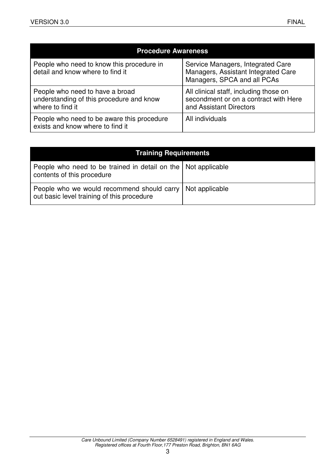| <b>Procedure Awareness</b>                                                                      |                                                                                                            |  |
|-------------------------------------------------------------------------------------------------|------------------------------------------------------------------------------------------------------------|--|
| People who need to know this procedure in<br>detail and know where to find it                   | Service Managers, Integrated Care<br>Managers, Assistant Integrated Care<br>Managers, SPCA and all PCAs    |  |
| People who need to have a broad<br>understanding of this procedure and know<br>where to find it | All clinical staff, including those on<br>secondment or on a contract with Here<br>and Assistant Directors |  |
| People who need to be aware this procedure<br>exists and know where to find it                  | All individuals                                                                                            |  |

| <b>Training Requirements</b>                                                                  |                |  |
|-----------------------------------------------------------------------------------------------|----------------|--|
| People who need to be trained in detail on the   Not applicable<br>contents of this procedure |                |  |
| People who we would recommend should carry<br>out basic level training of this procedure      | Not applicable |  |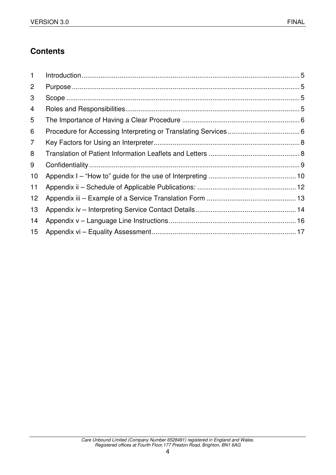## **Contents**

| $\mathbf{1}$ |  |
|--------------|--|
| 2            |  |
| 3            |  |
| 4            |  |
| 5            |  |
| 6            |  |
| 7            |  |
| 8            |  |
| 9            |  |
| 10           |  |
| 11           |  |
| 12           |  |
| 13           |  |
| 14           |  |
| 15           |  |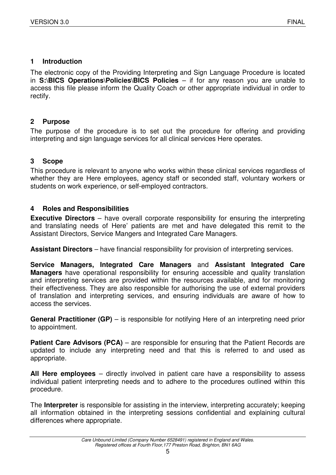#### **1 Introduction**

The electronic copy of the Providing Interpreting and Sign Language Procedure is located in **S:\BICS Operations\Policies\BICS Policies** – if for any reason you are unable to access this file please inform the Quality Coach or other appropriate individual in order to rectify.

#### **2 Purpose**

The purpose of the procedure is to set out the procedure for offering and providing interpreting and sign language services for all clinical services Here operates.

#### **3 Scope**

This procedure is relevant to anyone who works within these clinical services regardless of whether they are Here employees, agency staff or seconded staff, voluntary workers or students on work experience, or self-employed contractors.

#### **4 Roles and Responsibilities**

**Executive Directors** – have overall corporate responsibility for ensuring the interpreting and translating needs of Here' patients are met and have delegated this remit to the Assistant Directors, Service Mangers and Integrated Care Managers.

**Assistant Directors** – have financial responsibility for provision of interpreting services.

**Service Managers, Integrated Care Managers** and **Assistant Integrated Care Managers** have operational responsibility for ensuring accessible and quality translation and interpreting services are provided within the resources available, and for monitoring their effectiveness. They are also responsible for authorising the use of external providers of translation and interpreting services, and ensuring individuals are aware of how to access the services.

**General Practitioner (GP)** – is responsible for notifying Here of an interpreting need prior to appointment.

**Patient Care Advisors (PCA)** – are responsible for ensuring that the Patient Records are updated to include any interpreting need and that this is referred to and used as appropriate.

**All Here employees** – directly involved in patient care have a responsibility to assess individual patient interpreting needs and to adhere to the procedures outlined within this procedure.

The **Interpreter** is responsible for assisting in the interview, interpreting accurately; keeping all information obtained in the interpreting sessions confidential and explaining cultural differences where appropriate.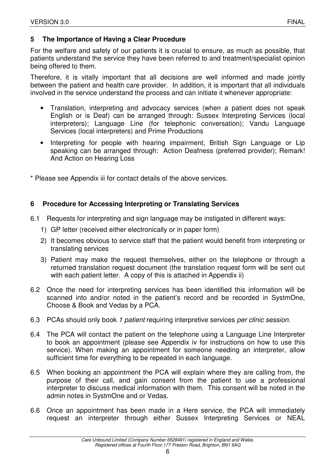#### **5 The Importance of Having a Clear Procedure**

For the welfare and safety of our patients it is crucial to ensure, as much as possible, that patients understand the service they have been referred to and treatment/specialist opinion being offered to them.

Therefore, it is vitally important that all decisions are well informed and made jointly between the patient and health care provider. In addition, it is important that all individuals involved in the service understand the process and can initiate it whenever appropriate:

- Translation, interpreting and advocacy services (when a patient does not speak English or is Deaf) can be arranged through: Sussex Interpreting Services (local interpreters); Language Line (for telephonic conversation); Vandu Language Services (local interpreters) and Prime Productions
- Interpreting for people with hearing impairment, British Sign Language or Lip speaking can be arranged through: Action Deafness (preferred provider); Remark! And Action on Hearing Loss

\* Please see Appendix iii for contact details of the above services.

#### **6 Procedure for Accessing Interpreting or Translating Services**

- 6.1 Requests for interpreting and sign language may be instigated in different ways:
	- 1) GP letter (received either electronically or in paper form)
	- 2) It becomes obvious to service staff that the patient would benefit from interpreting or translating services
	- 3) Patient may make the request themselves, either on the telephone or through a returned translation request document (the translation request form will be sent out with each patient letter. A copy of this is attached in Appendix ii)
- 6.2 Once the need for interpreting services has been identified this information will be scanned into and/or noted in the patient's record and be recorded in SystmOne, Choose & Book and Vedas by a PCA.
- 6.3 PCAs should only book 1 patient requiring interpretive services per clinic session.
- 6.4 The PCA will contact the patient on the telephone using a Language Line Interpreter to book an appointment (please see Appendix iv for instructions on how to use this service). When making an appointment for someone needing an interpreter, allow sufficient time for everything to be repeated in each language.
- 6.5 When booking an appointment the PCA will explain where they are calling from, the purpose of their call, and gain consent from the patient to use a professional interpreter to discuss medical information with them. This consent will be noted in the admin notes in SystmOne and or Vedas.
- 6.6 Once an appointment has been made in a Here service, the PCA will immediately request an interpreter through either Sussex Interpreting Services or NEAL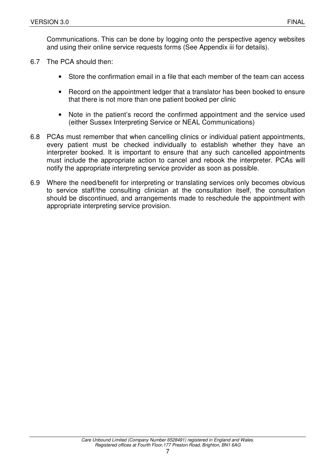Communications. This can be done by logging onto the perspective agency websites and using their online service requests forms (See Appendix iii for details).

- 6.7 The PCA should then:
	- Store the confirmation email in a file that each member of the team can access
	- Record on the appointment ledger that a translator has been booked to ensure that there is not more than one patient booked per clinic
	- Note in the patient's record the confirmed appointment and the service used (either Sussex Interpreting Service or NEAL Communications)
- 6.8 PCAs must remember that when cancelling clinics or individual patient appointments, every patient must be checked individually to establish whether they have an interpreter booked. It is important to ensure that any such cancelled appointments must include the appropriate action to cancel and rebook the interpreter. PCAs will notify the appropriate interpreting service provider as soon as possible.
- 6.9 Where the need/benefit for interpreting or translating services only becomes obvious to service staff/the consulting clinician at the consultation itself, the consultation should be discontinued, and arrangements made to reschedule the appointment with appropriate interpreting service provision.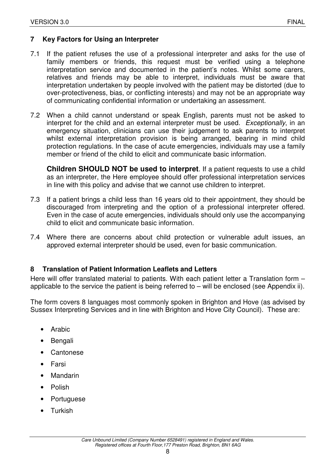#### **7 Key Factors for Using an Interpreter**

- 7.1 If the patient refuses the use of a professional interpreter and asks for the use of family members or friends, this request must be verified using a telephone interpretation service and documented in the patient's notes. Whilst some carers, relatives and friends may be able to interpret, individuals must be aware that interpretation undertaken by people involved with the patient may be distorted (due to over-protectiveness, bias, or conflicting interests) and may not be an appropriate way of communicating confidential information or undertaking an assessment.
- 7.2 When a child cannot understand or speak English, parents must not be asked to interpret for the child and an external interpreter must be used. Exceptionally, in an emergency situation, clinicians can use their judgement to ask parents to interpret whilst external interpretation provision is being arranged, bearing in mind child protection regulations. In the case of acute emergencies, individuals may use a family member or friend of the child to elicit and communicate basic information.

**Children SHOULD NOT be used to interpret**. If a patient requests to use a child as an interpreter, the Here employee should offer professional interpretation services in line with this policy and advise that we cannot use children to interpret.

- 7.3 If a patient brings a child less than 16 years old to their appointment, they should be discouraged from interpreting and the option of a professional interpreter offered. Even in the case of acute emergencies, individuals should only use the accompanying child to elicit and communicate basic information.
- 7.4 Where there are concerns about child protection or vulnerable adult issues, an approved external interpreter should be used, even for basic communication.

#### **8 Translation of Patient Information Leaflets and Letters**

Here will offer translated material to patients. With each patient letter a Translation form – applicable to the service the patient is being referred to – will be enclosed (see Appendix ii).

The form covers 8 languages most commonly spoken in Brighton and Hove (as advised by Sussex Interpreting Services and in line with Brighton and Hove City Council). These are:

- **Arabic**
- Bengali
- **Cantonese**
- **Farsi**
- **Mandarin**
- Polish
- **Portuguese**
- Turkish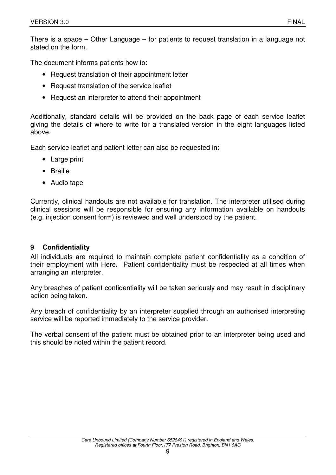There is a space – Other Language – for patients to request translation in a language not stated on the form.

The document informs patients how to:

- Request translation of their appointment letter
- Request translation of the service leaflet
- Request an interpreter to attend their appointment

Additionally, standard details will be provided on the back page of each service leaflet giving the details of where to write for a translated version in the eight languages listed above.

Each service leaflet and patient letter can also be requested in:

- Large print
- Braille
- Audio tape

Currently, clinical handouts are not available for translation. The interpreter utilised during clinical sessions will be responsible for ensuring any information available on handouts (e.g. injection consent form) is reviewed and well understood by the patient.

#### **9 Confidentiality**

All individuals are required to maintain complete patient confidentiality as a condition of their employment with Here**.** Patient confidentiality must be respected at all times when arranging an interpreter.

Any breaches of patient confidentiality will be taken seriously and may result in disciplinary action being taken.

Any breach of confidentiality by an interpreter supplied through an authorised interpreting service will be reported immediately to the service provider.

The verbal consent of the patient must be obtained prior to an interpreter being used and this should be noted within the patient record.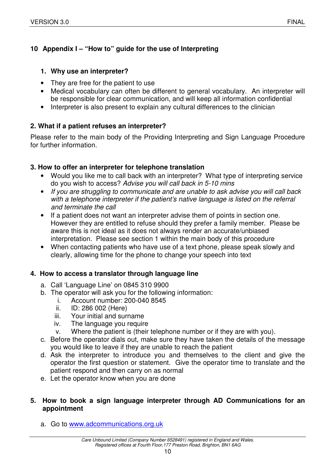## **10 Appendix I – "How to" guide for the use of Interpreting**

#### **1. Why use an interpreter?**

- They are free for the patient to use
- Medical vocabulary can often be different to general vocabulary. An interpreter will be responsible for clear communication, and will keep all information confidential
- Interpreter is also present to explain any cultural differences to the clinician

## **2. What if a patient refuses an interpreter?**

Please refer to the main body of the Providing Interpreting and Sign Language Procedure for further information.

#### **3. How to offer an interpreter for telephone translation**

- Would you like me to call back with an interpreter? What type of interpreting service do you wish to access? Advise you will call back in 5-10 mins
- If you are struggling to communicate and are unable to ask advise you will call back with a telephone interpreter if the patient's native language is listed on the referral and terminate the call
- If a patient does not want an interpreter advise them of points in section one. However they are entitled to refuse should they prefer a family member. Please be aware this is not ideal as it does not always render an accurate/unbiased interpretation. Please see section 1 within the main body of this procedure
- When contacting patients who have use of a text phone, please speak slowly and clearly, allowing time for the phone to change your speech into text

#### **4. How to access a translator through language line**

- a. Call 'Language Line' on 0845 310 9900
- b. The operator will ask you for the following information:
	- i. Account number: 200-040 8545
	- ii. ID: 286 002 (Here)
	- iii. Your initial and surname
	- iv. The language you require
	- v. Where the patient is (their telephone number or if they are with you).
- c. Before the operator dials out, make sure they have taken the details of the message you would like to leave if they are unable to reach the patient
- d. Ask the interpreter to introduce you and themselves to the client and give the operator the first question or statement. Give the operator time to translate and the patient respond and then carry on as normal
- e. Let the operator know when you are done

#### **5. How to book a sign language interpreter through AD Communications for an appointment**

a. Go to www.adcommunications.org.uk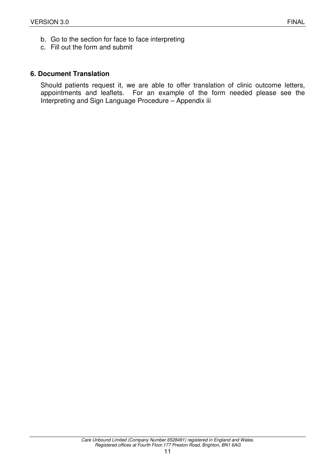- b. Go to the section for face to face interpreting
- c. Fill out the form and submit

#### **6. Document Translation**

Should patients request it, we are able to offer translation of clinic outcome letters, appointments and leaflets. For an example of the form needed please see the Interpreting and Sign Language Procedure – Appendix iii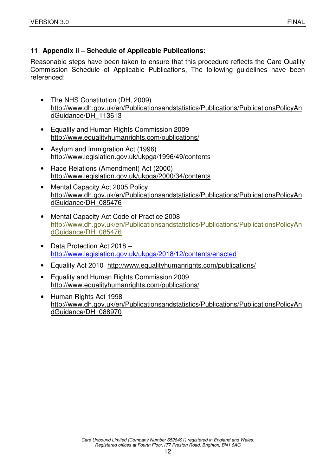## **11 Appendix ii – Schedule of Applicable Publications:**

Reasonable steps have been taken to ensure that this procedure reflects the Care Quality Commission Schedule of Applicable Publications, The following guidelines have been referenced:

- The NHS Constitution (DH, 2009) http://www.dh.gov.uk/en/Publicationsandstatistics/Publications/PublicationsPolicyAn dGuidance/DH\_113613
- Equality and Human Rights Commission 2009 http://www.equalityhumanrights.com/publications/
- Asylum and Immigration Act (1996) http://www.legislation.gov.uk/ukpga/1996/49/contents
- Race Relations (Amendment) Act (2000) http://www.legislation.gov.uk/ukpga/2000/34/contents
- Mental Capacity Act 2005 Policy http://www.dh.gov.uk/en/Publicationsandstatistics/Publications/PublicationsPolicyAn dGuidance/DH\_085476
- Mental Capacity Act Code of Practice 2008 http://www.dh.gov.uk/en/Publicationsandstatistics/Publications/PublicationsPolicyAn dGuidance/DH\_085476
- Data Protection Act 2018 http://www.legislation.gov.uk/ukpga/2018/12/contents/enacted
- Equality Act 2010 http://www.equalityhumanrights.com/publications/
- Equality and Human Rights Commission 2009 http://www.equalityhumanrights.com/publications/
- Human Rights Act 1998 http://www.dh.gov.uk/en/Publicationsandstatistics/Publications/PublicationsPolicyAn dGuidance/DH\_088970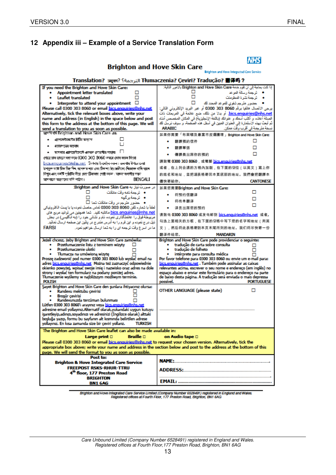## **12 Appendix iii – Example of a Service Translation Form**

| <b>Brighton and Hove Skin Care</b>                                                                                                                                                                                                                |                                                                                                                                                              |  |
|---------------------------------------------------------------------------------------------------------------------------------------------------------------------------------------------------------------------------------------------------|--------------------------------------------------------------------------------------------------------------------------------------------------------------|--|
|                                                                                                                                                                                                                                                   | Brighton and Hove Integrated Care Service                                                                                                                    |  |
|                                                                                                                                                                                                                                                   | Translation? जनुवार? [الترجمة] Tłumaczenia? Ceviri? Tradução? 翻译吗?                                                                                           |  |
| If you need the Brighton and Hove Skin Care:                                                                                                                                                                                                      | إذا كنت بحاجة إلى أن نقوم خدمة Brighton and Hove Skin Care بالأمور. التالية:                                                                                 |  |
| Appointment letter translated<br><b>Leaflet translated</b>                                                                                                                                                                                        | ● - ترجمة رسالة الموعد<br>• - ترجهة نشرة المطومات                                                                                                            |  |
| Interpreter to attend your appointment $\Box$                                                                                                                                                                                                     |                                                                                                                                                              |  |
| Please call 0300 303 8060 or email bics.enguiries@nhs.net                                                                                                                                                                                         | يرجى الاتصال هاتفيا برقم 3060 303 0300 أو عبر البريد الإلكتروني التالي:                                                                                      |  |
| Alternatively, tick the relevant boxes above, write your                                                                                                                                                                                          | <u>bics.enquiries@nhs.net.</u> أو بدلا من ذلك، ضع علامة في المريعات ذات                                                                                      |  |
| name and address (in English) in the space below and post<br>this form to the address at the bottom of this page. We will                                                                                                                         | الْصلة أعلاء، و أكتب أسمك و عنوانك (باللغة الإنجليزية) في المكان المخصص أنذاء<br>ثم أبحث بهذه الاستمارة إلى العنوان العبين في أسفل هذه الصفحة، و سرف نرسل اك |  |
| send a translation to you as soon as possible.                                                                                                                                                                                                    | <b>ARABIC</b><br>نسخة مترجمة في أقرب وقت ممكن.                                                                                                               |  |
| साथनि पनि Brighton and Hove Skin Care अस                                                                                                                                                                                                          | 如果你需要「布萊頓及豪富市皮膚護理」Brighton and Hove Skin Care:                                                                                                               |  |
| এ্যাপফাইফাৰ্ডের চিঠিব জনসংস<br>٠                                                                                                                                                                                                                  | 翻譯預約信件                                                                                                                                                       |  |
| প্ৰচাৰণ আৰু অৱৰ্ণদ                                                                                                                                                                                                                                | 器譯單張                                                                                                                                                         |  |
| ●      অপেদার এটগসেউজটে এফফল দেন্দ্রাদীর সাহায্য                                                                                                                                                                                                  | п<br>傳譯員出席你的預約                                                                                                                                               |  |
| প্ৰায়ে চাৰ ভাৰলে দয়া কৰে 0300-303-8060 নকৰে চোৰ কয়ন কিংবা                                                                                                                                                                                      | 請致電 0300 303 8060,或電郵 bics.enguiries@nhs.net                                                                                                                 |  |
| উপৰক্ষ বংস্ক চিক চিক দিন, আগলাৰ নাম এবং ঠিকালা চিং কেনিমেণ্ড দিয়োক্ত থালি ভালে।                                                                                                                                                                  | 或者,在上列合適的方格內加剔,在下面的空位(以英文)寫上你                                                                                                                                |  |
| নিশ্বন এনং ঘৰ্ষাট প্ৰষ্টাটিৰ নীয়ে দেহা ঠিকানায় গোষ্ট কয়ল। আমৰা যথাপীয় সন্ধন                                                                                                                                                                   | 的姓名和她址,並把還表格寄回本頁底部的地址。我們會把翻譯本                                                                                                                                |  |
| আগলাকে অৱনাদেব কপি পাঠান।<br><b>BENGALI</b>                                                                                                                                                                                                       | 儘快審給你。<br><b>CANTONESE</b>                                                                                                                                   |  |
| در صورت نیاز به Brighton and Hove Skin Care:                                                                                                                                                                                                      | 如果您需要Brighton and Hove Skin Care:                                                                                                                            |  |
| • - ترجمة نامه وقت مانقات                                                                                                                                                                                                                         | п<br>将预约信额译                                                                                                                                                  |  |
| • ترجمةبرگچه                                                                                                                                                                                                                                      | 将传单翻译                                                                                                                                                        |  |
| ● - حضور مترجِم در وقت ملاقات شما □<br>الطفأ با شمار، تلفن 8060 303 0300 تماس حاصل نمود، يا با يبت الكثرونيكي                                                                                                                                     | п<br>译员出席您的预约                                                                                                                                                |  |
| bics.enquiries@nhs.net مكاتبه كثيد. شما همچنين مي توانيد مربع هاي                                                                                                                                                                                 | 请致电 0300 303 8060 或发电邮到 <u>bics.enguiries@nhs.net</u> 或者,                                                                                                    |  |
| مربوطهٔ فوق را علامتگذاری نموده، نام و نشانی خود را (به آنگلیسی) در بخش                                                                                                                                                                           | 勾选上面相关的方框,在下面的空格中写下您的名字和地址(用英                                                                                                                                |  |
| ذیل در ج نموده و این فرم را به آدرس مندر ج در پائین این صفحه ارسال نمائید.<br><b>FARSI</b><br>ما در اسر ۶ وقت ترجمه ای را به شما ارسال خواهیرنمود.                                                                                                | 文),然后将此表格寄到本页末尾所列的地址。我们将尽快寄一份                                                                                                                                |  |
|                                                                                                                                                                                                                                                   | 翻译件给您。<br><b>MANDARIN</b>                                                                                                                                    |  |
| Jeżeli chcesz, żeby Brighton and Hove Skin Care zamówiła:                                                                                                                                                                                         | Brighton and Hove Skin Care pode providenciar o sequinte:                                                                                                    |  |
| Przetłumaczenie listu z terminem wizyty                                                                                                                                                                                                           | tradução de carta sobre consulta                                                                                                                             |  |
| Przetłumaczenie ulotki<br>Tłumacza na umówioną wizytę                                                                                                                                                                                             | tradução de folheto<br>⊓<br>intérprete para consulta médica                                                                                                  |  |
| Proszę zadzwonić pod numer 0300 303 8060 lub wysłać email na                                                                                                                                                                                      | Por favor telefone para 0300 303 8060 ou envie um e-mail para:                                                                                               |  |
| adres bics.enguiries@nhs.net Można też zaznaczyć odpowiednie<br>okienko powyżej, wpisać swoje imię i nazwisko oraz adres na dole                                                                                                                  | bics.enquiries@nhs.net . Também pode assinalar as caixas<br>relevantes acima, escrever o seu nome e endereço (em inglês) no                                  |  |
| strony i wysłać ten formularz na podany poniżej adres.                                                                                                                                                                                            | espaço abaixo e enviar este formulário para o endereço na parte                                                                                              |  |
| Tłumaczenie wyślemy w najbliższym możliwym terminie.<br><b>POLISH</b>                                                                                                                                                                             | de baixo desta página. A tradução será enviada o mais depressa<br>possível.<br><b>PORTUGUESE</b>                                                             |  |
| Savet Brighton and Hove Skin Care den sunlara ihtiyacınız olursa:                                                                                                                                                                                 |                                                                                                                                                              |  |
| Randevu mektubu cevirisi                                                                                                                                                                                                                          | OTHER LANGUAGE (please state)<br>□                                                                                                                           |  |
| <b>Brosür cevirisi</b><br>Randevunuzda tercüman bulunması                                                                                                                                                                                         |                                                                                                                                                              |  |
| Lütfen 0300 303 8060'ı arayınız veya bics.enguiries@nhs.net                                                                                                                                                                                       |                                                                                                                                                              |  |
| adresine email yollayınız.Alternatif olarak,yukandaki uygun kutuyu<br>isaretlevip,adınızı,sovadınızı ve adresinizi (İngilizce olarak) alttaki                                                                                                     |                                                                                                                                                              |  |
| boşluğa yazıp, formu bu sayfanın alt kısmında belirtilen adrese                                                                                                                                                                                   |                                                                                                                                                              |  |
| yollayınız. En kısa zamanda size bir çeviri yollarız.<br><b>TURKISH</b>                                                                                                                                                                           |                                                                                                                                                              |  |
| The Brighton and Hove Skin Care leaflet can also be made available in:                                                                                                                                                                            |                                                                                                                                                              |  |
| <b>Braille D</b><br>Large print D                                                                                                                                                                                                                 | on Audio tape □                                                                                                                                              |  |
| Please call 0300 303 8060 or email <u>bics.enguiries@nhs.net</u> to request your chosen version. Alternatively, tick the<br>appropriate box above; write your name and address in the section below and post to the address at the bottom of this |                                                                                                                                                              |  |
| page. We will send the format to you as soon as possible.                                                                                                                                                                                         |                                                                                                                                                              |  |
| Post to:                                                                                                                                                                                                                                          | <b>NAME:</b>                                                                                                                                                 |  |
| <b>Brighton &amp; Hove Integrated Care Service</b><br><b>FREEPOST RSKS-RHUR-TTRU</b>                                                                                                                                                              |                                                                                                                                                              |  |
| 4 <sup>th</sup> floor, 177 Preston Road                                                                                                                                                                                                           | ADDRESS: 2008                                                                                                                                                |  |
| <b>BRIGHTON</b>                                                                                                                                                                                                                                   |                                                                                                                                                              |  |
| <b>BN1 6AG</b>                                                                                                                                                                                                                                    |                                                                                                                                                              |  |

Brighton and Hove Integrated Care Service Limited (Company Number 6529491 ) registered in England and Wales.<br>Registered offices at Fourth Floor, 177 Preston Road, Bitghton, BN1 6AG

Care Unbound Limited (Company Number 6528491) registered in England and Wales. Registered offices at Fourth Floor,177 Preston Road, Brighton, BN1 6AG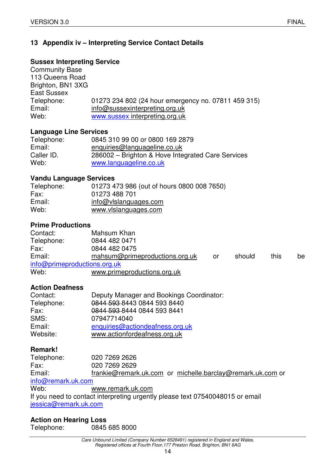## **13 Appendix iv – Interpreting Service Contact Details**

#### **Sussex Interpreting Service**

Community Base 113 Queens Road Brighton, BN1 3XG East Sussex Telephone: 01273 234 802 (24 hour emergency no. 07811 459 315)<br>Email: info@sussexinterpreting.org.uk info@sussexinterpreting.org.uk Web: www.sussex interpreting.org.uk

#### **Language Line Services**

| Telephone: | 0845 310 99 00 or 0800 169 2879                   |
|------------|---------------------------------------------------|
| Email:     | enquiries@languageline.co.uk                      |
| Caller ID. | 286002 – Brighton & Hove Integrated Care Services |
| Web:       | www.languageline.co.uk                            |

#### **Vandu Language Services**

| Telephone: | 01273 473 986 (out of hours 0800 008 7650) |
|------------|--------------------------------------------|
| Fax:       | 01273 488 701                              |
| Email:     | info@vlslanguages.com                      |
| Web:       | www.vlslanguages.com                       |

#### **Prime Productions**

| Contact:                     | Mahsum Khan                    |    |        |      |    |
|------------------------------|--------------------------------|----|--------|------|----|
| Telephone:                   | 0844 482 0471                  |    |        |      |    |
| Fax:                         | 0844 482 0475                  |    |        |      |    |
| Email:                       | mahsum@primeproductions.org.uk | or | should | this | be |
| info@primeproductions.org.uk |                                |    |        |      |    |
| Web:                         | www.primeproductions.org.uk    |    |        |      |    |

#### **Action Deafness**

| Contact:   | Deputy Manager and Bookings Coordinator: |
|------------|------------------------------------------|
| Telephone: | 0844 593 8443 0844 593 8440              |
| Fax:       | 0844 593 8444 0844 593 8441              |
| SMS:       | 07947714040                              |
| Email:     | enquiries@actiondeafness.org.uk          |
| Website:   | www.actionfordeafness.org.uk             |

#### **Remark!**

| Telephone:            | 020 7269 2626                                                                 |
|-----------------------|-------------------------------------------------------------------------------|
| Fax:                  | 020 7269 2629                                                                 |
| Email:                | frankie@remark.uk.com or michelle.barclay@remark.uk.com or                    |
| info@remark.uk.com    |                                                                               |
| Web:                  | www.remark.uk.com                                                             |
|                       | If you need to contact interpreting urgently please text 07540048015 or email |
| jessica@remark.uk.com |                                                                               |

#### **Action on Hearing Loss**  Telephone: 0845 685 8000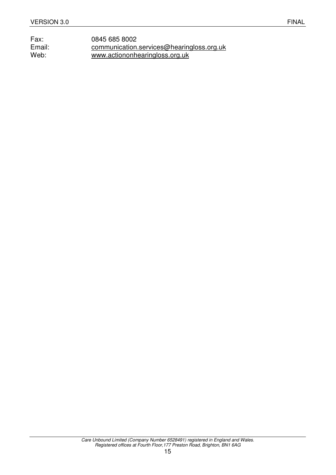Fax: 0845 685 8002<br>
Email: communication. Email: communication.services@hearingloss.org.uk<br>Web: www.actiononhearingloss.org.uk www.actiononhearingloss.org.uk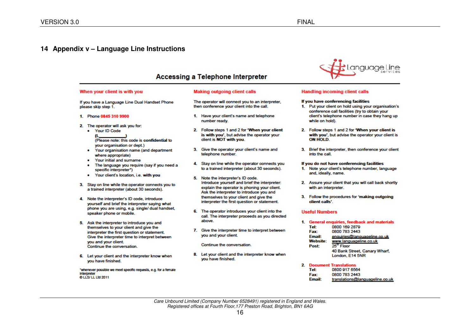#### **14 Appendix v – Language Line Instructions**

#### Accessing a Telephone Interpreter

#### When your client is with you

#### Making outgoing client calls

If you have a Language Line Dual Handset Phone please skip step 1.

1. Phone 0845 310 9900

- 2. The operator will ask you for:
	- Your ID Code  $\mathbf{u}$ (Please note: this code is confidential to your organisation or dept.)
	- Your organisation name (and department  $\bullet$ where appropriate)
	- Your initial and surname  $\bullet$
	- The language you require (say if you need a  $\bullet$ specific interpreter")
	- Your client's location, i.e. with you  $\bullet$
- 3. Stay on line while the operator connects you to a trained interpreter (about 30 seconds).
- 4. Note the interpreter's ID code, introduce vourself and brief the interpreter saving what phone you are using, e.g. single/ dual handset, speaker phone or mobile.
- 5. Ask the interpreter to introduce you and themselves to your client and give the interpreter the first question or statement. Give the interpreter time to interpret between you and your client. Continue the conversation.
- 6. Let your client and the interpreter know when vou have finished.

"whenever possible we meet specific requests, e.g. for a female Interpreter O LLS/ LL Ltd 2011

- The operator will connect you to an interpreter. then conference your client into the call.
- 1. Have your client's name and telephone number ready.
- 2. Follow steps 1 and 2 for 'When your client is with you', but advise the operator your client is NOT with you.
- 3. Give the operator your client's name and telephone number.
- 4. Stay on line while the operator connects you to a trained interpreter (about 30 seconds).
- 5. Note the interpreter's ID code. Introduce yourself and brief the interpreter: explain the operator is phoning your client. Ask the interpreter to introduce you and themselves to your client and give the interpreter the first question or statement.
- 6. The operator introduces your client into the call. The interpreter proceeds as you directed above.
- 7. Give the interpreter time to interpret between you and your client.

#### Continue the conversation.

8. Let your client and the interpreter know when you have finished.



#### **Handling incoming client calls**

#### If you have conferencing facilities

- 1. Put your client on hold using your organisation's conference call facilities (try to obtain your client's telephone number in case they hang up while on hold).
- 2. Follow steps 1 and 2 for 'When your client is with you', but advise the operator your client is ON HOLD.
- 3. Brief the interpreter, then conference your client into the call.

#### If you do not have conferencing facilities

- 1. Note your client's telephone number, language and, ideally, name.
- 2. Assure your client that you will call back shortly with an interpreter.
- 3. Follow the procedures for 'making outgoing client calls'.

#### **Useful Numbers**

- 1. General enquiries, feedback and materials 0800 169 2879 Tel: Fax: 0800 783 2443 Email: enquiries@lanquageline.co.uk **Website:** www.languageline.co.uk 25<sup>th</sup> Floor Post: 40 Bank Street, Canary Wharf, London, E14 5NR
- 2. Document Translations Tel: 0800 917 6564 Fax: 0800 783 2443 **Email:** translations@languageline.co.uk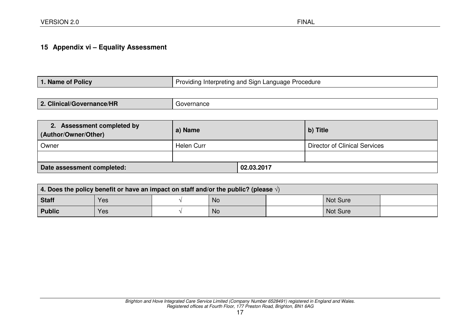## **15 Appendix vi – Equality Assessment**

| 1. Name of Policy | Providing Interpreting and Sign Language Procedure |
|-------------------|----------------------------------------------------|
|-------------------|----------------------------------------------------|

|      | <b>Clinical/Governance/HR</b> | ernance |
|------|-------------------------------|---------|
| ____ | n                             | ovr     |

| 2. Assessment completed by<br>(Author/Owner/Other) | a) Name    |            | b) Title                      |  |
|----------------------------------------------------|------------|------------|-------------------------------|--|
| Owner                                              | Helen Curr |            | Director of Clinical Services |  |
|                                                    |            |            |                               |  |
| Date assessment completed:                         |            | 02.03.2017 |                               |  |

| 4. Does the policy benefit or have an impact on staff and/or the public? (please $\sqrt{ }$ ) |     |  |    |  |                 |  |
|-----------------------------------------------------------------------------------------------|-----|--|----|--|-----------------|--|
| Staff                                                                                         | Yes |  | No |  | <b>Not Sure</b> |  |
| <b>Public</b>                                                                                 | Yes |  | No |  | <b>Not Sure</b> |  |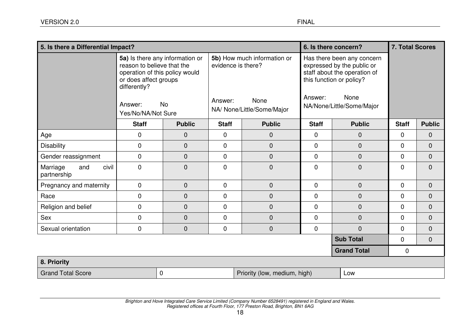| 5. Is there a Differential Impact?      |                                                                                                                                        |                                              |              | 6. Is there concern?                                                                    |              | <b>7. Total Scores</b>                                                                                                                                    |                |                |
|-----------------------------------------|----------------------------------------------------------------------------------------------------------------------------------------|----------------------------------------------|--------------|-----------------------------------------------------------------------------------------|--------------|-----------------------------------------------------------------------------------------------------------------------------------------------------------|----------------|----------------|
|                                         | reason to believe that the<br>operation of this policy would<br>or does affect groups<br>differently?<br>Answer:<br>Yes/No/NA/Not Sure | 5a) Is there any information or<br><b>No</b> | Answer:      | 5b) How much information or<br>evidence is there?<br>None<br>NA/ None/Little/Some/Major | Answer:      | Has there been any concern<br>expressed by the public or<br>staff about the operation of<br>this function or policy?<br>None<br>NA/None/Little/Some/Major |                |                |
|                                         | <b>Staff</b>                                                                                                                           | <b>Public</b>                                | <b>Staff</b> | <b>Public</b>                                                                           | <b>Staff</b> | <b>Public</b>                                                                                                                                             | <b>Staff</b>   | <b>Public</b>  |
| Age                                     | 0                                                                                                                                      | 0                                            | $\mathbf 0$  | $\mathbf{0}$                                                                            | $\mathbf 0$  | $\mathbf 0$                                                                                                                                               | $\overline{0}$ | $\mathbf 0$    |
| <b>Disability</b>                       | 0                                                                                                                                      | 0                                            | 0            | $\overline{0}$                                                                          | $\mathbf 0$  | $\pmb{0}$                                                                                                                                                 | $\overline{0}$ | $\mathbf 0$    |
| Gender reassignment                     | 0                                                                                                                                      | 0                                            | $\mathbf 0$  | $\overline{0}$                                                                          | $\mathbf 0$  | $\mathbf 0$                                                                                                                                               | $\overline{0}$ | $\overline{0}$ |
| civil<br>Marriage<br>and<br>partnership | 0                                                                                                                                      | 0                                            | $\mathbf 0$  | $\mathbf 0$                                                                             | $\mathbf 0$  | $\pmb{0}$                                                                                                                                                 | 0              | $\mathbf 0$    |
| Pregnancy and maternity                 | $\mathbf 0$                                                                                                                            | 0                                            | $\mathbf 0$  | $\boldsymbol{0}$                                                                        | $\mathbf{0}$ | $\mathbf{0}$                                                                                                                                              | $\overline{0}$ | $\mathbf 0$    |
| Race                                    | 0                                                                                                                                      | 0                                            | $\mathbf 0$  | $\overline{0}$                                                                          | $\mathbf 0$  | $\mathbf 0$                                                                                                                                               | $\overline{0}$ | $\overline{0}$ |
| Religion and belief                     | 0                                                                                                                                      | 0                                            | $\mathbf 0$  | $\mathbf 0$                                                                             | $\mathbf 0$  | $\mathbf 0$                                                                                                                                               | $\mathbf 0$    | $\mathbf 0$    |
| Sex                                     | $\mathbf 0$                                                                                                                            | $\mathbf 0$                                  | $\mathbf 0$  | $\mathbf 0$                                                                             | $\mathbf 0$  | $\mathbf 0$                                                                                                                                               | $\overline{0}$ | $\mathbf 0$    |
| Sexual orientation                      | 0                                                                                                                                      | 0                                            | 0            | $\boldsymbol{0}$                                                                        | $\mathbf 0$  | $\overline{0}$                                                                                                                                            | $\mathbf 0$    | $\mathbf 0$    |
|                                         |                                                                                                                                        |                                              |              |                                                                                         |              | <b>Sub Total</b>                                                                                                                                          | 0              | $\mathbf 0$    |
|                                         |                                                                                                                                        |                                              |              |                                                                                         |              | <b>Grand Total</b>                                                                                                                                        | 0              |                |
| 8. Priority                             |                                                                                                                                        |                                              |              |                                                                                         |              |                                                                                                                                                           |                |                |
| <b>Grand Total Score</b>                |                                                                                                                                        | 0                                            |              | Priority (low, medium, high)                                                            |              | Low                                                                                                                                                       |                |                |